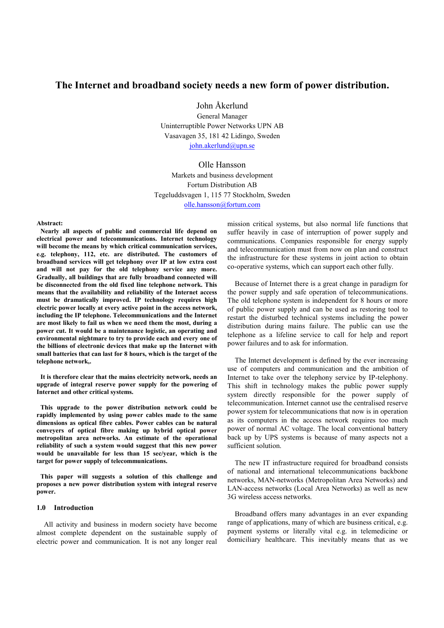## **The Internet and broadband society needs a new form of power distribution.**

John Åkerlund

General Manager Uninterruptible Power Networks UPN AB Vasavagen 35, 181 42 Lidingo, Sweden john.akerlund@upn.se

Olle Hansson Markets and business development Fortum Distribution AB Tegeluddsvagen 1, 115 77 Stockholm, Sweden olle.hansson@fortum.com

**Abstract:** 

**Nearly all aspects of public and commercial life depend on electrical power and telecommunications. Internet technology will become the means by which critical communication services, e.g. telephony, 112, etc. are distributed. The customers of broadband services will get telephony over IP at low extra cost and will not pay for the old telephony service any more. Gradually, all buildings that are fully broadband connected will be disconnected from the old fixed line telephone network. This means that the availability and reliability of the Internet access must be dramatically improved. IP technology requires high electric power locally at every active point in the access network, including the IP telephone. Telecommunications and the Internet are most likely to fail us when we need them the most, during a power cut. It would be a maintenance logistic, an operating and environmental nightmare to try to provide each and every one of the billions of electronic devices that make up the Internet with small batteries that can last for 8 hours, which is the target of the telephone network,.** 

**It is therefore clear that the mains electricity network, needs an upgrade of integral reserve power supply for the powering of Internet and other critical systems.** 

**This upgrade to the power distribution network could be rapidly implemented by using power cables made to the same dimensions as optical fibre cables. Power cables can be natural conveyers of optical fibre making up hybrid optical power metropolitan area networks. An estimate of the operational reliability of such a system would suggest that this new power would be unavailable for less than 15 sec/year, which is the target for power supply of telecommunications.** 

**This paper will suggests a solution of this challenge and proposes a new power distribution system with integral reserve power.** 

#### **1.0 Introduction**

All activity and business in modern society have become almost complete dependent on the sustainable supply of electric power and communication. It is not any longer real

mission critical systems, but also normal life functions that suffer heavily in case of interruption of power supply and communications. Companies responsible for energy supply and telecommunication must from now on plan and construct the infrastructure for these systems in joint action to obtain co-operative systems, which can support each other fully.

Because of Internet there is a great change in paradigm for the power supply and safe operation of telecommunications. The old telephone system is independent for 8 hours or more of public power supply and can be used as restoring tool to restart the disturbed technical systems including the power distribution during mains failure. The public can use the telephone as a lifeline service to call for help and report power failures and to ask for information.

The Internet development is defined by the ever increasing use of computers and communication and the ambition of Internet to take over the telephony service by IP-telephony. This shift in technology makes the public power supply system directly responsible for the power supply of telecommunication. Internet cannot use the centralised reserve power system for telecommunications that now is in operation as its computers in the access network requires too much power of normal AC voltage. The local conventional battery back up by UPS systems is because of many aspects not a sufficient solution.

The new IT infrastructure required for broadband consists of national and international telecommunications backbone networks, MAN-networks (Metropolitan Area Networks) and LAN-access networks (Local Area Networks) as well as new 3G wireless access networks.

Broadband offers many advantages in an ever expanding range of applications, many of which are business critical, e.g. payment systems or literally vital e.g. in telemedicine or domiciliary healthcare. This inevitably means that as we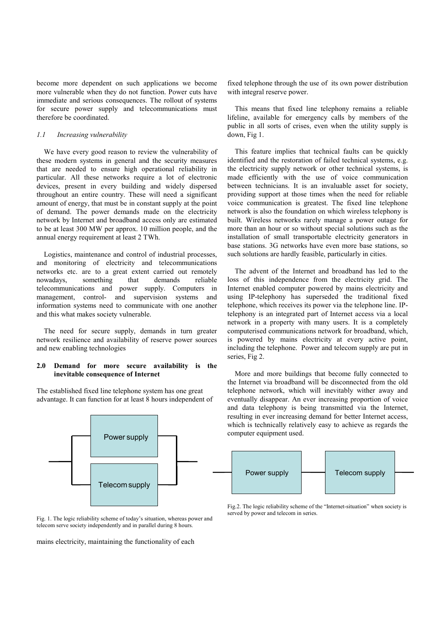become more dependent on such applications we become more vulnerable when they do not function. Power cuts have immediate and serious consequences. The rollout of systems for secure power supply and telecommunications must therefore be coordinated.

## *1.1 Increasing vulnerability*

We have every good reason to review the vulnerability of these modern systems in general and the security measures that are needed to ensure high operational reliability in particular. All these networks require a lot of electronic devices, present in every building and widely dispersed throughout an entire country. These will need a significant amount of energy, that must be in constant supply at the point of demand. The power demands made on the electricity network by Internet and broadband access only are estimated to be at least 300 MW per approx. 10 million people, and the annual energy requirement at least 2 TWh.

Logistics, maintenance and control of industrial processes, and monitoring of electricity and telecommunications networks etc. are to a great extent carried out remotely nowadays, something that demands reliable telecommunications and power supply. Computers in management, control- and supervision systems and information systems need to communicate with one another and this what makes society vulnerable.

The need for secure supply, demands in turn greater network resilience and availability of reserve power sources and new enabling technologies

### **2.0 Demand for more secure availability is the inevitable consequence of Internet**

The established fixed line telephone system has one great advantage. It can function for at least 8 hours independent of



Fig. 1. The logic reliability scheme of today's situation, whereas power and telecom serve society independently and in parallel during 8 hours.

mains electricity, maintaining the functionality of each

fixed telephone through the use of its own power distribution with integral reserve power.

This means that fixed line telephony remains a reliable lifeline, available for emergency calls by members of the public in all sorts of crises, even when the utility supply is down, Fig 1.

This feature implies that technical faults can be quickly identified and the restoration of failed technical systems, e.g. the electricity supply network or other technical systems, is made efficiently with the use of voice communication between technicians. It is an invaluable asset for society, providing support at those times when the need for reliable voice communication is greatest. The fixed line telephone network is also the foundation on which wireless telephony is built. Wireless networks rarely manage a power outage for more than an hour or so without special solutions such as the installation of small transportable electricity generators in base stations. 3G networks have even more base stations, so such solutions are hardly feasible, particularly in cities.

The advent of the Internet and broadband has led to the loss of this independence from the electricity grid. The Internet enabled computer powered by mains electricity and using IP-telephony has superseded the traditional fixed telephone, which receives its power via the telephone line. IPtelephony is an integrated part of Internet access via a local network in a property with many users. It is a completely computerised communications network for broadband, which, is powered by mains electricity at every active point, including the telephone. Power and telecom supply are put in series, Fig 2.

More and more buildings that become fully connected to the Internet via broadband will be disconnected from the old telephone network, which will inevitably wither away and eventually disappear. An ever increasing proportion of voice and data telephony is being transmitted via the Internet, resulting in ever increasing demand for better Internet access, which is technically relatively easy to achieve as regards the computer equipment used.



Fig.2. The logic reliability scheme of the "Internet-situation" when society is served by power and telecom in series.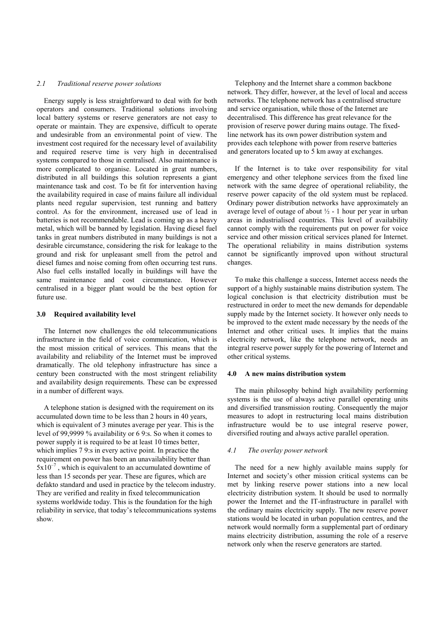#### *2.1 Traditional reserve power solutions*

Energy supply is less straightforward to deal with for both operators and consumers. Traditional solutions involving local battery systems or reserve generators are not easy to operate or maintain. They are expensive, difficult to operate and undesirable from an environmental point of view. The investment cost required for the necessary level of availability and required reserve time is very high in decentralised systems compared to those in centralised. Also maintenance is more complicated to organise. Located in great numbers, distributed in all buildings this solution represents a giant maintenance task and cost. To be fit for intervention having the availability required in case of mains failure all individual plants need regular supervision, test running and battery control. As for the environment, increased use of lead in batteries is not recommendable. Lead is coming up as a heavy metal, which will be banned by legislation. Having diesel fuel tanks in great numbers distributed in many buildings is not a desirable circumstance, considering the risk for leakage to the ground and risk for unpleasant smell from the petrol and diesel fumes and noise coming from often occurring test runs. Also fuel cells installed locally in buildings will have the same maintenance and cost circumstance. However centralised in a bigger plant would be the best option for future use.

## **3.0 Required availability level**

The Internet now challenges the old telecommunications infrastructure in the field of voice communication, which is the most mission critical of services. This means that the availability and reliability of the Internet must be improved dramatically. The old telephony infrastructure has since a century been constructed with the most stringent reliability and availability design requirements. These can be expressed in a number of different ways.

A telephone station is designed with the requirement on its accumulated down time to be less than 2 hours in 40 years, which is equivalent of 3 minutes average per year. This is the level of 99,9999 % availability or 6 9:s. So when it comes to power supply it is required to be at least 10 times better, which implies 7 9:s in every active point. In practice the requirement on power has been an unavailability better than  $5x10^{-7}$ , which is equivalent to an accumulated downtime of less than 15 seconds per year. These are figures, which are defakto standard and used in practice by the telecom industry. They are verified and reality in fixed telecommunication systems worldwide today. This is the foundation for the high reliability in service, that today's telecommunications systems show.

Telephony and the Internet share a common backbone network. They differ, however, at the level of local and access networks. The telephone network has a centralised structure and service organisation, while those of the Internet are decentralised. This difference has great relevance for the provision of reserve power during mains outage. The fixedline network has its own power distribution system and provides each telephone with power from reserve batteries and generators located up to 5 km away at exchanges.

If the Internet is to take over responsibility for vital emergency and other telephone services from the fixed line network with the same degree of operational reliability, the reserve power capacity of the old system must be replaced. Ordinary power distribution networks have approximately an average level of outage of about  $\frac{1}{2}$  - 1 hour per year in urban areas in industrialised countries. This level of availability cannot comply with the requirements put on power for voice service and other mission critical services planed for Internet. The operational reliability in mains distribution systems cannot be significantly improved upon without structural changes.

To make this challenge a success, Internet access needs the support of a highly sustainable mains distribution system. The logical conclusion is that electricity distribution must be restructured in order to meet the new demands for dependable supply made by the Internet society. It however only needs to be improved to the extent made necessary by the needs of the Internet and other critical uses. It implies that the mains electricity network, like the telephone network, needs an integral reserve power supply for the powering of Internet and other critical systems.

#### **4.0 A new mains distribution system**

The main philosophy behind high availability performing systems is the use of always active parallel operating units and diversified transmission routing. Consequently the major measures to adopt in restructuring local mains distribution infrastructure would be to use integral reserve power, diversified routing and always active parallel operation.

#### *4.1 The overlay power network*

The need for a new highly available mains supply for Internet and society's other mission critical systems can be met by linking reserve power stations into a new local electricity distribution system. It should be used to normally power the Internet and the IT-infrastructure in parallel with the ordinary mains electricity supply. The new reserve power stations would be located in urban population centres, and the network would normally form a supplemental part of ordinary mains electricity distribution, assuming the role of a reserve network only when the reserve generators are started.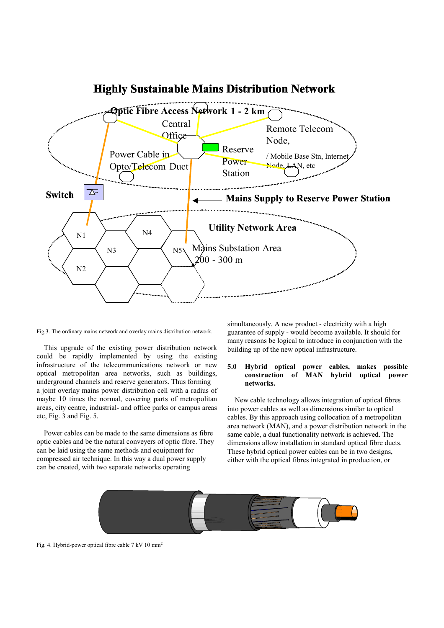

# **Highly Sustainable Mains Distribution Network**

Fig.3. The ordinary mains network and overlay mains distribution network.

This upgrade of the existing power distribution network could be rapidly implemented by using the existing infrastructure of the telecommunications network or new optical metropolitan area networks, such as buildings, underground channels and reserve generators. Thus forming a joint overlay mains power distribution cell with a radius of maybe 10 times the normal, covering parts of metropolitan areas, city centre, industrial- and office parks or campus areas etc, Fig. 3 and Fig. 5.

Power cables can be made to the same dimensions as fibre optic cables and be the natural conveyers of optic fibre. They can be laid using the same methods and equipment for compressed air technique. In this way a dual power supply can be created, with two separate networks operating

simultaneously. A new product - electricity with a high guarantee of supply - would become available. It should for many reasons be logical to introduce in conjunction with the building up of the new optical infrastructure.

## **5.0 Hybrid optical power cables, makes possible construction of MAN hybrid optical power networks.**

New cable technology allows integration of optical fibres into power cables as well as dimensions similar to optical cables. By this approach using collocation of a metropolitan area network (MAN), and a power distribution network in the same cable, a dual functionality network is achieved. The dimensions allow installation in standard optical fibre ducts. These hybrid optical power cables can be in two designs, either with the optical fibres integrated in production, or



Fig. 4. Hybrid-power optical fibre cable 7 kV 10 mm2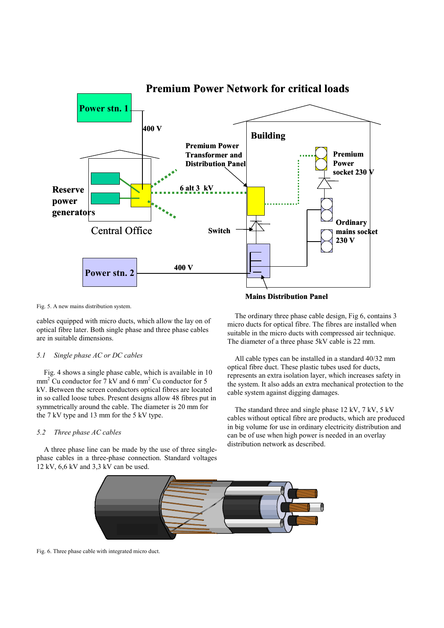

Fig. 5. A new mains distribution system.

cables equipped with micro ducts, which allow the lay on of optical fibre later. Both single phase and three phase cables are in suitable dimensions.

#### *5.1 Single phase AC or DC cables*

Fig. 4 shows a single phase cable, which is available in 10  $mm<sup>2</sup>$  Cu conductor for 7 kV and 6 mm<sup>2</sup> Cu conductor for 5 kV. Between the screen conductors optical fibres are located in so called loose tubes. Present designs allow 48 fibres put in symmetrically around the cable. The diameter is 20 mm for the 7 kV type and 13 mm for the 5 kV type.

#### *5.2 Three phase AC cables*

A three phase line can be made by the use of three singlephase cables in a three-phase connection. Standard voltages 12 kV, 6,6 kV and 3,3 kV can be used.

**Mains Distribution Panel** 

The ordinary three phase cable design, Fig 6, contains 3 micro ducts for optical fibre. The fibres are installed when suitable in the micro ducts with compressed air technique. The diameter of a three phase 5kV cable is 22 mm.

All cable types can be installed in a standard 40/32 mm optical fibre duct. These plastic tubes used for ducts, represents an extra isolation layer, which increases safety in the system. It also adds an extra mechanical protection to the cable system against digging damages.

The standard three and single phase 12 kV, 7 kV, 5 kV cables without optical fibre are products, which are produced in big volume for use in ordinary electricity distribution and can be of use when high power is needed in an overlay distribution network as described.



Fig. 6. Three phase cable with integrated micro duct.